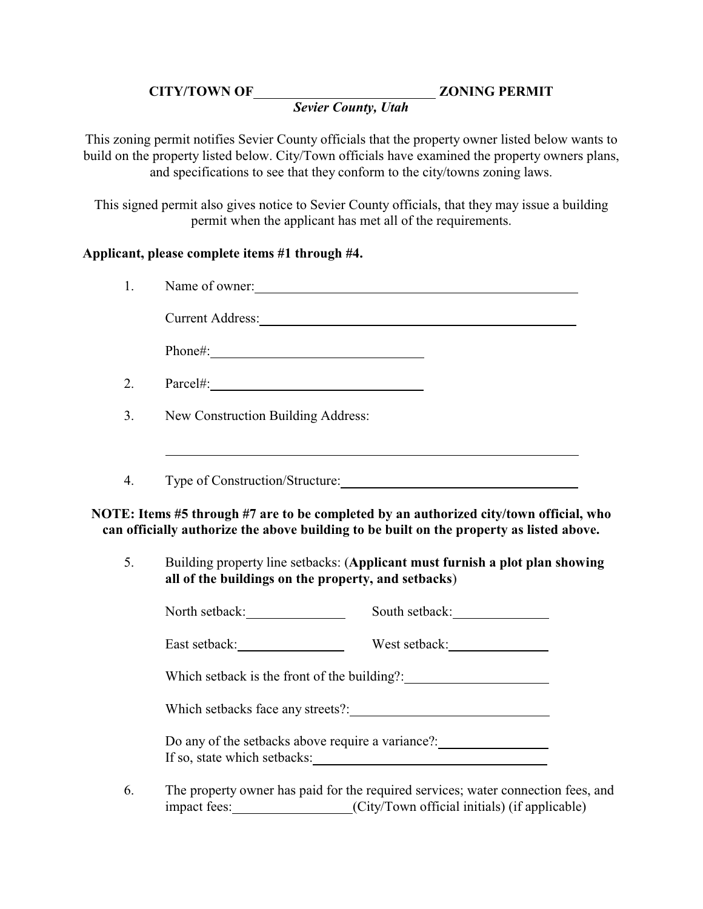## **CITY/TOWN OF ZONING PERMIT**

## *Sevier County, Utah*

This zoning permit notifies Sevier County officials that the property owner listed below wants to build on the property listed below. City/Town officials have examined the property owners plans, and specifications to see that they conform to the city/towns zoning laws.

This signed permit also gives notice to Sevier County officials, that they may issue a building permit when the applicant has met all of the requirements.

## **Applicant, please complete items #1 through #4.**

| 1. | Name of owner:                                      |                                                                                                                                                                                                                                |  |
|----|-----------------------------------------------------|--------------------------------------------------------------------------------------------------------------------------------------------------------------------------------------------------------------------------------|--|
|    |                                                     | Current Address: No. 1996. The Contract of the Contract of the Contract of the Contract of the Contract of the Contract of the Contract of the Contract of the Contract of the Contract of the Contract of the Contract of the |  |
|    | Phone#:                                             |                                                                                                                                                                                                                                |  |
| 2. | $Parcel\#:\_$                                       |                                                                                                                                                                                                                                |  |
| 3. | New Construction Building Address:                  |                                                                                                                                                                                                                                |  |
| 4. |                                                     | Type of Construction/Structure:                                                                                                                                                                                                |  |
|    |                                                     | NOTE: Items #5 through #7 are to be completed by an authorized city/town official, who                                                                                                                                         |  |
|    |                                                     | can officially authorize the above building to be built on the property as listed above.                                                                                                                                       |  |
|    | all of the buildings on the property, and setbacks) | Building property line setbacks: (Applicant must furnish a plot plan showing                                                                                                                                                   |  |
| 5. | North setback:                                      | South setback:                                                                                                                                                                                                                 |  |
|    |                                                     |                                                                                                                                                                                                                                |  |
|    |                                                     | Which setback is the front of the building?: ___________________________________                                                                                                                                               |  |
|    |                                                     | Which setbacks face any streets?:                                                                                                                                                                                              |  |
|    |                                                     | Do any of the setbacks above require a variance?:                                                                                                                                                                              |  |

6. The property owner has paid for the required services; water connection fees, and impact fees: (City/Town official initials) (if applicable)